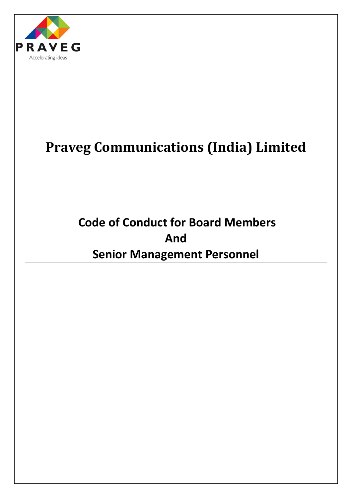

# **Praveg Communications (India) Limited**

**Code of Conduct for Board Members And Senior Management Personnel**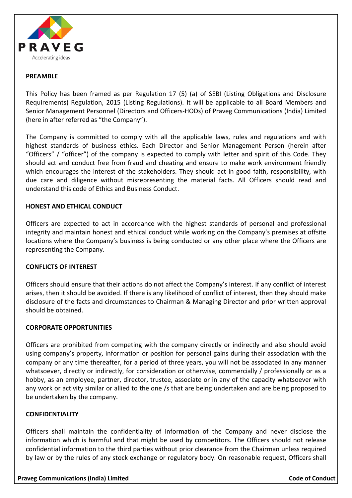

#### **PREAMBLE**

This Policy has been framed as per Regulation 17 (5) (a) of SEBI (Listing Obligations and Disclosure Requirements) Regulation, 2015 (Listing Regulations). It will be applicable to all Board Members and Senior Management Personnel (Directors and Officers-HODs) of Praveg Communications (India) Limited (here in after referred as "the Company").

The Company is committed to comply with all the applicable laws, rules and regulations and with highest standards of business ethics. Each Director and Senior Management Person (herein after "Officers" / "officer") of the company is expected to comply with letter and spirit of this Code. They should act and conduct free from fraud and cheating and ensure to make work environment friendly which encourages the interest of the stakeholders. They should act in good faith, responsibility, with due care and diligence without misrepresenting the material facts. All Officers should read and understand this code of Ethics and Business Conduct.

#### **HONEST AND ETHICAL CONDUCT**

Officers are expected to act in accordance with the highest standards of personal and professional integrity and maintain honest and ethical conduct while working on the Company's premises at offsite locations where the Company's business is being conducted or any other place where the Officers are representing the Company.

#### **CONFLICTS OF INTEREST**

Officers should ensure that their actions do not affect the Company's interest. If any conflict of interest arises, then it should be avoided. If there is any likelihood of conflict of interest, then they should make disclosure of the facts and circumstances to Chairman & Managing Director and prior written approval should be obtained.

#### **CORPORATE OPPORTUNITIES**

Officers are prohibited from competing with the company directly or indirectly and also should avoid using company's property, information or position for personal gains during their association with the company or any time thereafter, for a period of three years, you will not be associated in any manner whatsoever, directly or indirectly, for consideration or otherwise, commercially / professionally or as a hobby, as an employee, partner, director, trustee, associate or in any of the capacity whatsoever with any work or activity similar or allied to the one /s that are being undertaken and are being proposed to be undertaken by the company.

#### **CONFIDENTIALITY**

Officers shall maintain the confidentiality of information of the Company and never disclose the information which is harmful and that might be used by competitors. The Officers should not release confidential information to the third parties without prior clearance from the Chairman unless required by law or by the rules of any stock exchange or regulatory body. On reasonable request, Officers shall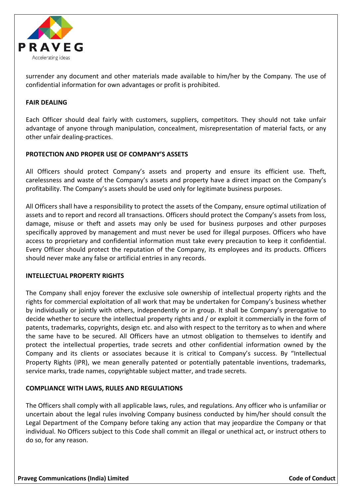

surrender any document and other materials made available to him/her by the Company. The use of confidential information for own advantages or profit is prohibited.

# **FAIR DEALING**

Each Officer should deal fairly with customers, suppliers, competitors. They should not take unfair advantage of anyone through manipulation, concealment, misrepresentation of material facts, or any other unfair dealing-practices.

# **PROTECTION AND PROPER USE OF COMPANY'S ASSETS**

All Officers should protect Company's assets and property and ensure its efficient use. Theft, carelessness and waste of the Company's assets and property have a direct impact on the Company's profitability. The Company's assets should be used only for legitimate business purposes.

All Officers shall have a responsibility to protect the assets of the Company, ensure optimal utilization of assets and to report and record all transactions. Officers should protect the Company's assets from loss, damage, misuse or theft and assets may only be used for business purposes and other purposes specifically approved by management and must never be used for illegal purposes. Officers who have access to proprietary and confidential information must take every precaution to keep it confidential. Every Officer should protect the reputation of the Company, its employees and its products. Officers should never make any false or artificial entries in any records.

# **INTELLECTUAL PROPERTY RIGHTS**

The Company shall enjoy forever the exclusive sole ownership of intellectual property rights and the rights for commercial exploitation of all work that may be undertaken for Company's business whether by individually or jointly with others, independently or in group. It shall be Company's prerogative to decide whether to secure the intellectual property rights and / or exploit it commercially in the form of patents, trademarks, copyrights, design etc. and also with respect to the territory as to when and where the same have to be secured. All Officers have an utmost obligation to themselves to identify and protect the intellectual properties, trade secrets and other confidential information owned by the Company and its clients or associates because it is critical to Company's success. By "Intellectual Property Rights (IPR), we mean generally patented or potentially patentable inventions, trademarks, service marks, trade names, copyrightable subject matter, and trade secrets.

# **COMPLIANCE WITH LAWS, RULES AND REGULATIONS**

The Officers shall comply with all applicable laws, rules, and regulations. Any officer who is unfamiliar or uncertain about the legal rules involving Company business conducted by him/her should consult the Legal Department of the Company before taking any action that may jeopardize the Company or that individual. No Officers subject to this Code shall commit an illegal or unethical act, or instruct others to do so, for any reason.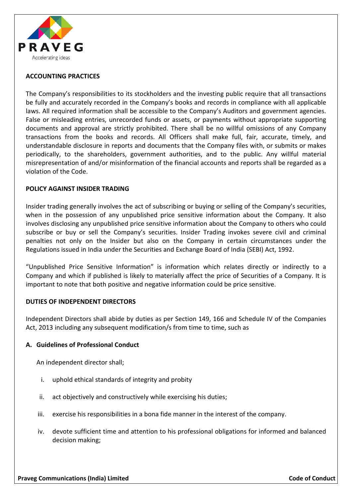

# **ACCOUNTING PRACTICES**

The Company's responsibilities to its stockholders and the investing public require that all transactions be fully and accurately recorded in the Company's books and records in compliance with all applicable laws. All required information shall be accessible to the Company's Auditors and government agencies. False or misleading entries, unrecorded funds or assets, or payments without appropriate supporting documents and approval are strictly prohibited. There shall be no willful omissions of any Company transactions from the books and records. All Officers shall make full, fair, accurate, timely, and understandable disclosure in reports and documents that the Company files with, or submits or makes periodically, to the shareholders, government authorities, and to the public. Any willful material misrepresentation of and/or misinformation of the financial accounts and reports shall be regarded as a violation of the Code.

# **POLICY AGAINST INSIDER TRADING**

Insider trading generally involves the act of subscribing or buying or selling of the Company's securities, when in the possession of any unpublished price sensitive information about the Company. It also involves disclosing any unpublished price sensitive information about the Company to others who could subscribe or buy or sell the Company's securities. Insider Trading invokes severe civil and criminal penalties not only on the Insider but also on the Company in certain circumstances under the Regulations issued in India under the Securities and Exchange Board of India (SEBI) Act, 1992.

"Unpublished Price Sensitive Information" is information which relates directly or indirectly to a Company and which if published is likely to materially affect the price of Securities of a Company. It is important to note that both positive and negative information could be price sensitive.

# **DUTIES OF INDEPENDENT DIRECTORS**

Independent Directors shall abide by duties as per Section 149, 166 and Schedule IV of the Companies Act, 2013 including any subsequent modification/s from time to time, such as

# **A. Guidelines of Professional Conduct**

An independent director shall;

- i. uphold ethical standards of integrity and probity
- ii. act objectively and constructively while exercising his duties;
- iii. exercise his responsibilities in a bona fide manner in the interest of the company.
- iv. devote sufficient time and attention to his professional obligations for informed and balanced decision making;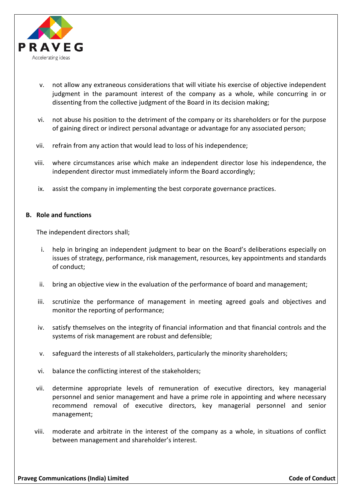

- v. not allow any extraneous considerations that will vitiate his exercise of objective independent judgment in the paramount interest of the company as a whole, while concurring in or dissenting from the collective judgment of the Board in its decision making;
- vi. not abuse his position to the detriment of the company or its shareholders or for the purpose of gaining direct or indirect personal advantage or advantage for any associated person;
- vii. refrain from any action that would lead to loss of his independence;
- viii. where circumstances arise which make an independent director lose his independence, the independent director must immediately inform the Board accordingly;
- ix. assist the company in implementing the best corporate governance practices.

#### **B. Role and functions**

The independent directors shall;

- i. help in bringing an independent judgment to bear on the Board's deliberations especially on issues of strategy, performance, risk management, resources, key appointments and standards of conduct;
- ii. bring an objective view in the evaluation of the performance of board and management;
- iii. scrutinize the performance of management in meeting agreed goals and objectives and monitor the reporting of performance;
- iv. satisfy themselves on the integrity of financial information and that financial controls and the systems of risk management are robust and defensible;
- v. safeguard the interests of all stakeholders, particularly the minority shareholders;
- vi. balance the conflicting interest of the stakeholders;
- vii. determine appropriate levels of remuneration of executive directors, key managerial personnel and senior management and have a prime role in appointing and where necessary recommend removal of executive directors, key managerial personnel and senior management;
- viii. moderate and arbitrate in the interest of the company as a whole, in situations of conflict between management and shareholder's interest.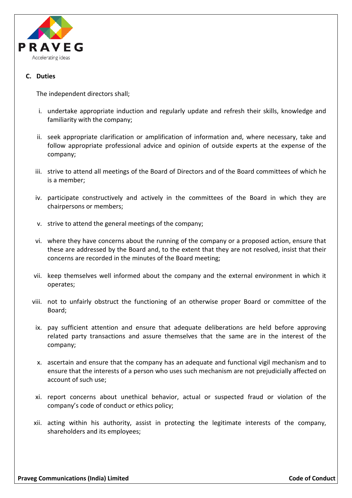

# **C. Duties**

The independent directors shall;

- i. undertake appropriate induction and regularly update and refresh their skills, knowledge and familiarity with the company;
- ii. seek appropriate clarification or amplification of information and, where necessary, take and follow appropriate professional advice and opinion of outside experts at the expense of the company;
- iii. strive to attend all meetings of the Board of Directors and of the Board committees of which he is a member;
- iv. participate constructively and actively in the committees of the Board in which they are chairpersons or members;
- v. strive to attend the general meetings of the company;
- vi. where they have concerns about the running of the company or a proposed action, ensure that these are addressed by the Board and, to the extent that they are not resolved, insist that their concerns are recorded in the minutes of the Board meeting;
- vii. keep themselves well informed about the company and the external environment in which it operates;
- viii. not to unfairly obstruct the functioning of an otherwise proper Board or committee of the Board;
- ix. pay sufficient attention and ensure that adequate deliberations are held before approving related party transactions and assure themselves that the same are in the interest of the company;
- x. ascertain and ensure that the company has an adequate and functional vigil mechanism and to ensure that the interests of a person who uses such mechanism are not prejudicially affected on account of such use;
- xi. report concerns about unethical behavior, actual or suspected fraud or violation of the company's code of conduct or ethics policy;
- xii. acting within his authority, assist in protecting the legitimate interests of the company, shareholders and its employees;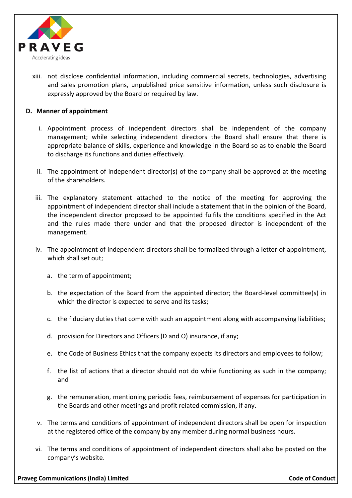

xiii. not disclose confidential information, including commercial secrets, technologies, advertising and sales promotion plans, unpublished price sensitive information, unless such disclosure is expressly approved by the Board or required by law.

# **D. Manner of appointment**

- i. Appointment process of independent directors shall be independent of the company management; while selecting independent directors the Board shall ensure that there is appropriate balance of skills, experience and knowledge in the Board so as to enable the Board to discharge its functions and duties effectively.
- ii. The appointment of independent director(s) of the company shall be approved at the meeting of the shareholders.
- iii. The explanatory statement attached to the notice of the meeting for approving the appointment of independent director shall include a statement that in the opinion of the Board, the independent director proposed to be appointed fulfils the conditions specified in the Act and the rules made there under and that the proposed director is independent of the management.
- iv. The appointment of independent directors shall be formalized through a letter of appointment, which shall set out;
	- a. the term of appointment;
	- b. the expectation of the Board from the appointed director; the Board-level committee(s) in which the director is expected to serve and its tasks;
	- c. the fiduciary duties that come with such an appointment along with accompanying liabilities;
	- d. provision for Directors and Officers (D and O) insurance, if any;
	- e. the Code of Business Ethics that the company expects its directors and employees to follow;
	- f. the list of actions that a director should not do while functioning as such in the company; and
	- g. the remuneration, mentioning periodic fees, reimbursement of expenses for participation in the Boards and other meetings and profit related commission, if any.
- v. The terms and conditions of appointment of independent directors shall be open for inspection at the registered office of the company by any member during normal business hours.
- vi. The terms and conditions of appointment of independent directors shall also be posted on the company's website.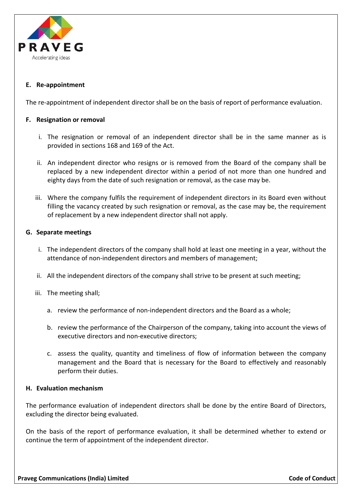

# **E. Re-appointment**

The re-appointment of independent director shall be on the basis of report of performance evaluation.

# **F. Resignation or removal**

- i. The resignation or removal of an independent director shall be in the same manner as is provided in sections 168 and 169 of the Act.
- ii. An independent director who resigns or is removed from the Board of the company shall be replaced by a new independent director within a period of not more than one hundred and eighty days from the date of such resignation or removal, as the case may be.
- iii. Where the company fulfils the requirement of independent directors in its Board even without filling the vacancy created by such resignation or removal, as the case may be, the requirement of replacement by a new independent director shall not apply.

# **G. Separate meetings**

- i. The independent directors of the company shall hold at least one meeting in a year, without the attendance of non-independent directors and members of management;
- ii. All the independent directors of the company shall strive to be present at such meeting;
- iii. The meeting shall;
	- a. review the performance of non-independent directors and the Board as a whole;
	- b. review the performance of the Chairperson of the company, taking into account the views of executive directors and non-executive directors;
	- c. assess the quality, quantity and timeliness of flow of information between the company management and the Board that is necessary for the Board to effectively and reasonably perform their duties.

# **H. Evaluation mechanism**

The performance evaluation of independent directors shall be done by the entire Board of Directors, excluding the director being evaluated.

On the basis of the report of performance evaluation, it shall be determined whether to extend or continue the term of appointment of the independent director.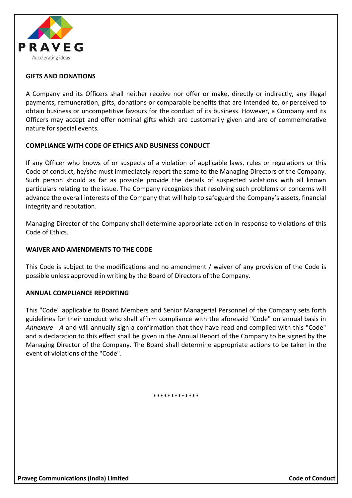

# **GIFTS AND DONATIONS**

A Company and its Officers shall neither receive nor offer or make, directly or indirectly, any illegal payments, remuneration, gifts, donations or comparable benefits that are intended to, or perceived to obtain business or uncompetitive favours for the conduct of its business. However, a Company and its Officers may accept and offer nominal gifts which are customarily given and are of commemorative nature for special events.

# **COMPLIANCE WITH CODE OF ETHICS AND BUSINESS CONDUCT**

If any Officer who knows of or suspects of a violation of applicable laws, rules or regulations or this Code of conduct, he/she must immediately report the same to the Managing Directors of the Company. Such person should as far as possible provide the details of suspected violations with all known particulars relating to the issue. The Company recognizes that resolving such problems or concerns will advance the overall interests of the Company that will help to safeguard the Company's assets, financial integrity and reputation.

Managing Director of the Company shall determine appropriate action in response to violations of this Code of Ethics.

# **WAIVER AND AMENDMENTS TO THE CODE**

This Code is subject to the modifications and no amendment / waiver of any provision of the Code is possible unless approved in writing by the Board of Directors of the Company.

#### **ANNUAL COMPLIANCE REPORTING**

This "Code" applicable to Board Members and Senior Managerial Personnel of the Company sets forth guidelines for their conduct who shall affirm compliance with the aforesaid "Code" on annual basis in *Annexure - A* and will annually sign a confirmation that they have read and complied with this "Code" and a declaration to this effect shall be given in the Annual Report of the Company to be signed by the Managing Director of the Company. The Board shall determine appropriate actions to be taken in the event of violations of the "Code".

\*\*\*\*\*\*\*\*\*\*\*\*\*